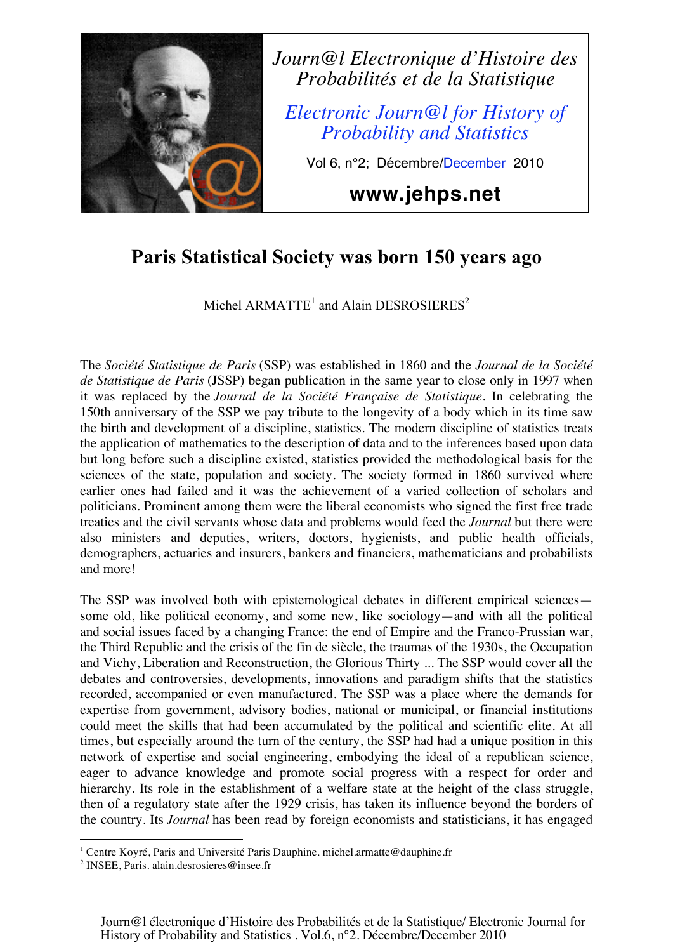

## **Paris Statistical Society was born 150 years ago**

Michel  $ARMATE<sup>1</sup>$  and Alain DESROSIERES<sup>2</sup>

The *Société Statistique de Paris* (SSP) was established in 1860 and the *Journal de la Société de Statistique de Paris* (JSSP) began publication in the same year to close only in 1997 when it was replaced by the *Journal de la Société Française de Statistique*. In celebrating the 150th anniversary of the SSP we pay tribute to the longevity of a body which in its time saw the birth and development of a discipline, statistics. The modern discipline of statistics treats the application of mathematics to the description of data and to the inferences based upon data but long before such a discipline existed, statistics provided the methodological basis for the sciences of the state, population and society. The society formed in 1860 survived where earlier ones had failed and it was the achievement of a varied collection of scholars and politicians. Prominent among them were the liberal economists who signed the first free trade treaties and the civil servants whose data and problems would feed the *Journal* but there were also ministers and deputies, writers, doctors, hygienists, and public health officials, demographers, actuaries and insurers, bankers and financiers, mathematicians and probabilists and more!

The SSP was involved both with epistemological debates in different empirical sciences some old, like political economy, and some new, like sociology—and with all the political and social issues faced by a changing France: the end of Empire and the Franco-Prussian war, the Third Republic and the crisis of the fin de siècle, the traumas of the 1930s, the Occupation and Vichy, Liberation and Reconstruction, the Glorious Thirty ... The SSP would cover all the debates and controversies, developments, innovations and paradigm shifts that the statistics recorded, accompanied or even manufactured. The SSP was a place where the demands for expertise from government, advisory bodies, national or municipal, or financial institutions could meet the skills that had been accumulated by the political and scientific elite. At all times, but especially around the turn of the century, the SSP had had a unique position in this network of expertise and social engineering, embodying the ideal of a republican science, eager to advance knowledge and promote social progress with a respect for order and hierarchy. Its role in the establishment of a welfare state at the height of the class struggle, then of a regulatory state after the 1929 crisis, has taken its influence beyond the borders of the country. Its *Journal* has been read by foreign economists and statisticians, it has engaged

<sup>&</sup>lt;u>.</u> <sup>1</sup> Centre Koyré, Paris and Université Paris Dauphine. michel.armatte@dauphine.fr

<sup>&</sup>lt;sup>2</sup> INSEE, Paris. alain.desrosieres@insee.fr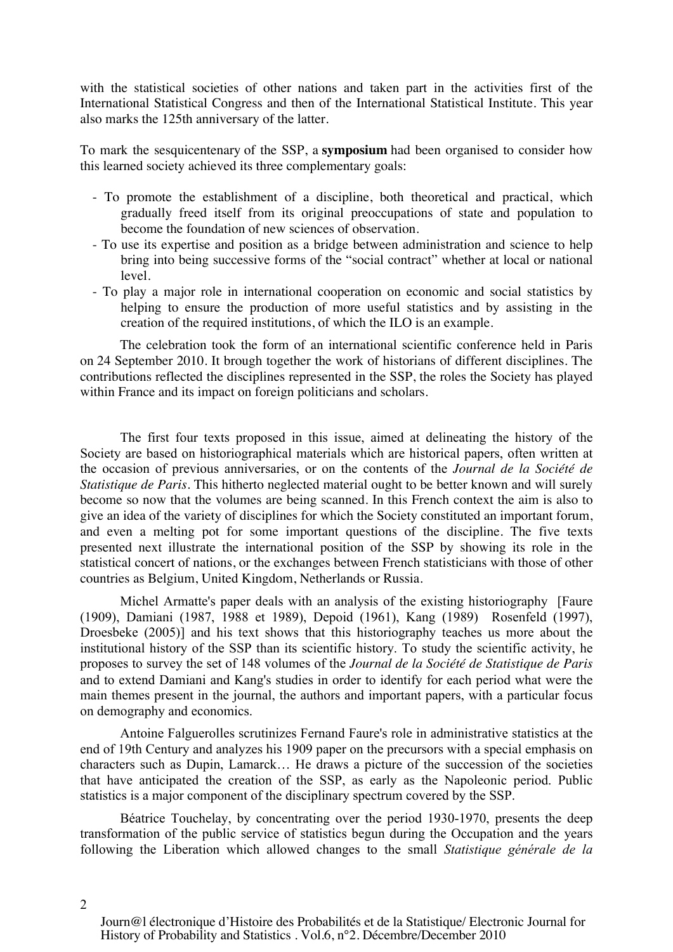with the statistical societies of other nations and taken part in the activities first of the International Statistical Congress and then of the International Statistical Institute. This year also marks the 125th anniversary of the latter.

To mark the sesquicentenary of the SSP, a **symposium** had been organised to consider how this learned society achieved its three complementary goals:

- To promote the establishment of a discipline, both theoretical and practical, which gradually freed itself from its original preoccupations of state and population to become the foundation of new sciences of observation.
- To use its expertise and position as a bridge between administration and science to help bring into being successive forms of the "social contract" whether at local or national level.
- To play a major role in international cooperation on economic and social statistics by helping to ensure the production of more useful statistics and by assisting in the creation of the required institutions, of which the ILO is an example.

The celebration took the form of an international scientific conference held in Paris on 24 September 2010. It brough together the work of historians of different disciplines. The contributions reflected the disciplines represented in the SSP, the roles the Society has played within France and its impact on foreign politicians and scholars.

The first four texts proposed in this issue, aimed at delineating the history of the Society are based on historiographical materials which are historical papers, often written at the occasion of previous anniversaries, or on the contents of the *Journal de la Société de Statistique de Paris*. This hitherto neglected material ought to be better known and will surely become so now that the volumes are being scanned. In this French context the aim is also to give an idea of the variety of disciplines for which the Society constituted an important forum, and even a melting pot for some important questions of the discipline. The five texts presented next illustrate the international position of the SSP by showing its role in the statistical concert of nations, or the exchanges between French statisticians with those of other countries as Belgium, United Kingdom, Netherlands or Russia.

Michel Armatte's paper deals with an analysis of the existing historiography [Faure (1909), Damiani (1987, 1988 et 1989), Depoid (1961), Kang (1989) Rosenfeld (1997), Droesbeke (2005)] and his text shows that this historiography teaches us more about the institutional history of the SSP than its scientific history. To study the scientific activity, he proposes to survey the set of 148 volumes of the *Journal de la Société de Statistique de Paris* and to extend Damiani and Kang's studies in order to identify for each period what were the main themes present in the journal, the authors and important papers, with a particular focus on demography and economics.

Antoine Falguerolles scrutinizes Fernand Faure's role in administrative statistics at the end of 19th Century and analyzes his 1909 paper on the precursors with a special emphasis on characters such as Dupin, Lamarck… He draws a picture of the succession of the societies that have anticipated the creation of the SSP, as early as the Napoleonic period. Public statistics is a major component of the disciplinary spectrum covered by the SSP.

Béatrice Touchelay, by concentrating over the period 1930-1970, presents the deep transformation of the public service of statistics begun during the Occupation and the years following the Liberation which allowed changes to the small *Statistique générale de la* 

 $\mathcal{D}$ 

Journ@l électronique d'Histoire des Probabilités et de la Statistique/ Electronic Journal for History of Probability and Statistics . Vol.6, n°2. Décembre/December 2010